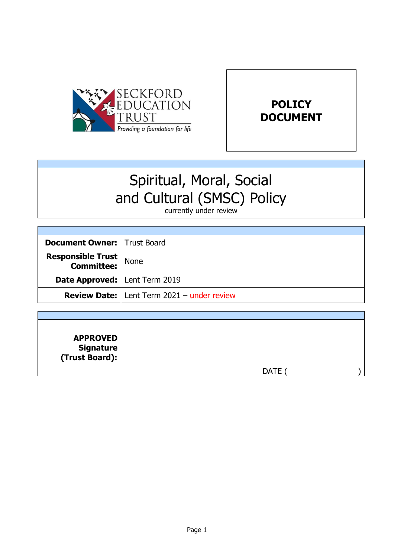



# Spiritual, Moral, Social and Cultural (SMSC) Policy

currently under review

| <b>Document Owner:   Trust Board</b>               |                                                     |
|----------------------------------------------------|-----------------------------------------------------|
| <b>Responsible Trust</b><br><b>Committee:</b> None |                                                     |
| <b>Date Approved:   Lent Term 2019</b>             |                                                     |
|                                                    | <b>Review Date:</b>   Lent Term 2021 - under review |

| <b>APPROVED</b><br>  Signature<br>  (Trust Board): |             |  |
|----------------------------------------------------|-------------|--|
|                                                    | <b>DATE</b> |  |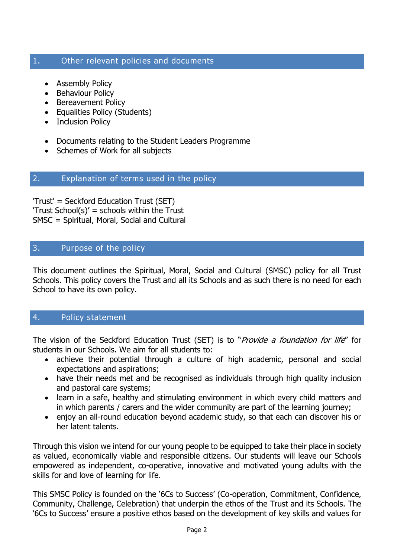## 1. Other relevant policies and documents

- Assembly Policy
- Behaviour Policy
- Bereavement Policy
- Equalities Policy (Students)
- Inclusion Policy
- Documents relating to the Student Leaders Programme
- Schemes of Work for all subjects

## 2. Explanation of terms used in the policy

'Trust' = Seckford Education Trust (SET) 'Trust School(s)' = schools within the Trust SMSC = Spiritual, Moral, Social and Cultural

## 3. Purpose of the policy

This document outlines the Spiritual, Moral, Social and Cultural (SMSC) policy for all Trust Schools. This policy covers the Trust and all its Schools and as such there is no need for each School to have its own policy.

## 4. Policy statement

The vision of the Seckford Education Trust (SET) is to "Provide a foundation for life" for students in our Schools. We aim for all students to:

- achieve their potential through a culture of high academic, personal and social expectations and aspirations;
- have their needs met and be recognised as individuals through high quality inclusion and pastoral care systems;
- learn in a safe, healthy and stimulating environment in which every child matters and in which parents / carers and the wider community are part of the learning journey;
- enjoy an all-round education beyond academic study, so that each can discover his or her latent talents.

Through this vision we intend for our young people to be equipped to take their place in society as valued, economically viable and responsible citizens. Our students will leave our Schools empowered as independent, co-operative, innovative and motivated young adults with the skills for and love of learning for life.

This SMSC Policy is founded on the '6Cs to Success' (Co-operation, Commitment, Confidence, Community, Challenge, Celebration) that underpin the ethos of the Trust and its Schools. The '6Cs to Success' ensure a positive ethos based on the development of key skills and values for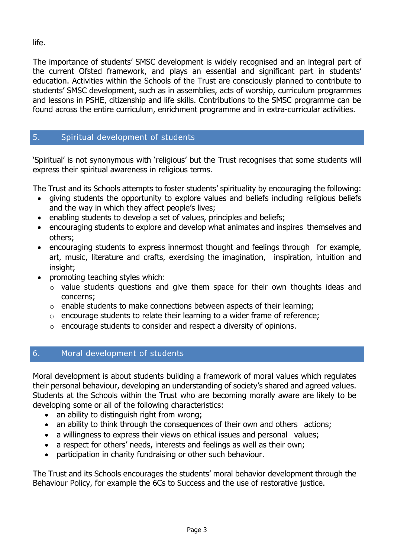life.

The importance of students' SMSC development is widely recognised and an integral part of the current Ofsted framework, and plays an essential and significant part in students' education. Activities within the Schools of the Trust are consciously planned to contribute to students' SMSC development, such as in assemblies, acts of worship, curriculum programmes and lessons in PSHE, citizenship and life skills. Contributions to the SMSC programme can be found across the entire curriculum, enrichment programme and in extra-curricular activities.

## 5. Spiritual development of students

'Spiritual' is not synonymous with 'religious' but the Trust recognises that some students will express their spiritual awareness in religious terms.

The Trust and its Schools attempts to foster students' spirituality by encouraging the following:

- giving students the opportunity to explore values and beliefs including religious beliefs and the way in which they affect people's lives;
- enabling students to develop a set of values, principles and beliefs;
- encouraging students to explore and develop what animates and inspires themselves and others;
- encouraging students to express innermost thought and feelings through for example, art, music, literature and crafts, exercising the imagination, inspiration, intuition and insight;
- promoting teaching styles which:
	- o value students questions and give them space for their own thoughts ideas and concerns;
	- o enable students to make connections between aspects of their learning;
	- o encourage students to relate their learning to a wider frame of reference;
	- o encourage students to consider and respect a diversity of opinions.

## 6. Moral development of students

Moral development is about students building a framework of moral values which regulates their personal behaviour, developing an understanding of society's shared and agreed values. Students at the Schools within the Trust who are becoming morally aware are likely to be developing some or all of the following characteristics:

- an ability to distinguish right from wrong;
- an ability to think through the consequences of their own and others actions;
- a willingness to express their views on ethical issues and personal values;
- a respect for others' needs, interests and feelings as well as their own;
- participation in charity fundraising or other such behaviour.

The Trust and its Schools encourages the students' moral behavior development through the Behaviour Policy, for example the 6Cs to Success and the use of restorative justice.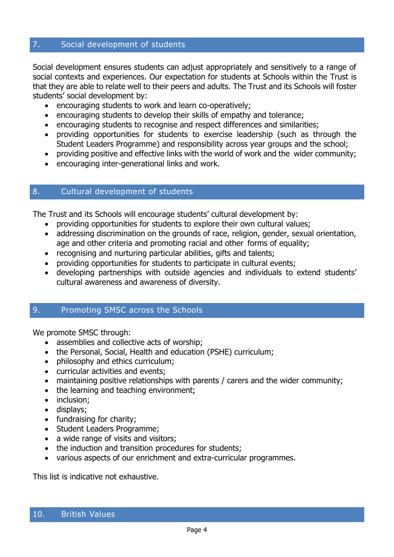## 7. Social development of students

Social development ensures students can adjust appropriately and sensitively to a range of social contexts and experiences. Our expectation for students at Schools within the Trust is that they are able to relate well to their peers and adults. The Trust and its Schools will foster students' social development by:

- encouraging students to work and learn co-operatively;
- encouraging students to develop their skills of empathy and tolerance;
- encouraging students to recognise and respect differences and similarities;
- providing opportunities for students to exercise leadership (such as through the Student Leaders Programme) and responsibility across year groups and the school;
- providing positive and effective links with the world of work and the wider community;
- encouraging inter-generational links and work.

#### 8. Cultural development of students

The Trust and its Schools will encourage students' cultural development by:

- providing opportunities for students to explore their own cultural values;
- addressing discrimination on the grounds of race, religion, gender, sexual orientation, age and other criteria and promoting racial and other forms of equality;
- recognising and nurturing particular abilities, gifts and talents;
- providing opportunities for students to participate in cultural events;
- developing partnerships with outside agencies and individuals to extend students' cultural awareness and awareness of diversity.

### 9. Promoting SMSC across the Schools

We promote SMSC through:

- assemblies and collective acts of worship;
- the Personal, Social, Health and education (PSHE) curriculum;
- philosophy and ethics curriculum;
- curricular activities and events;
- maintaining positive relationships with parents / carers and the wider community;
- the learning and teaching environment;
- inclusion;
- displays;
- fundraising for charity;
- Student Leaders Programme;
- a wide range of visits and visitors;
- the induction and transition procedures for students;
- various aspects of our enrichment and extra-curricular programmes.

This list is indicative not exhaustive.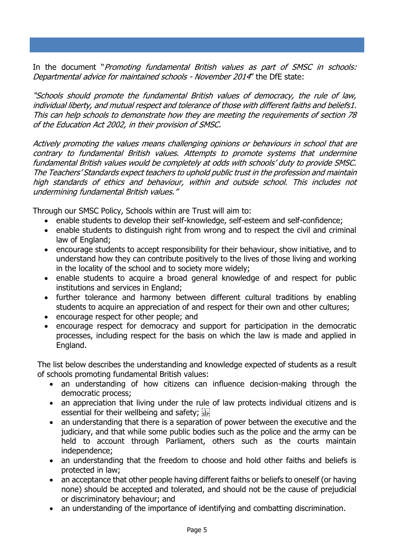In the document "Promoting fundamental British values as part of SMSC in schools: Departmental advice for maintained schools - November 2014" the DfE state:

"Schools should promote the fundamental British values of democracy, the rule of law, individual liberty, and mutual respect and tolerance of those with different faiths and beliefs1. This can help schools to demonstrate how they are meeting the requirements of section 78 of the Education Act 2002, in their provision of SMSC.

Actively promoting the values means challenging opinions or behaviours in school that are contrary to fundamental British values. Attempts to promote systems that undermine fundamental British values would be completely at odds with schools' duty to provide SMSC. The Teachers' Standards expect teachers to uphold public trust in the profession and maintain high standards of ethics and behaviour, within and outside school. This includes not undermining fundamental British values."

Through our SMSC Policy, Schools within are Trust will aim to:

- enable students to develop their self-knowledge, self-esteem and self-confidence;
- enable students to distinguish right from wrong and to respect the civil and criminal law of England;
- encourage students to accept responsibility for their behaviour, show initiative, and to understand how they can contribute positively to the lives of those living and working in the locality of the school and to society more widely;
- enable students to acquire a broad general knowledge of and respect for public institutions and services in England;
- further tolerance and harmony between different cultural traditions by enabling students to acquire an appreciation of and respect for their own and other cultures;
- encourage respect for other people; and
- encourage respect for democracy and support for participation in the democratic processes, including respect for the basis on which the law is made and applied in England.

The list below describes the understanding and knowledge expected of students as a result of schools promoting fundamental British values:

- an understanding of how citizens can influence decision-making through the democratic process;
- an appreciation that living under the rule of law protects individual citizens and is essential for their wellbeing and safety; see
- an understanding that there is a separation of power between the executive and the judiciary, and that while some public bodies such as the police and the army can be held to account through Parliament, others such as the courts maintain independence;
- an understanding that the freedom to choose and hold other faiths and beliefs is protected in law;
- an acceptance that other people having different faiths or beliefs to oneself (or having none) should be accepted and tolerated, and should not be the cause of prejudicial or discriminatory behaviour; and
- an understanding of the importance of identifying and combatting discrimination.